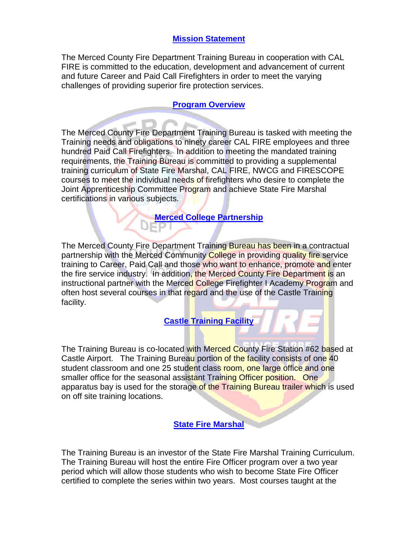## **Mission Statement**

The Merced County Fire Department Training Bureau in cooperation with CAL FIRE is committed to the education, development and advancement of current and future Career and Paid Call Firefighters in order to meet the varying challenges of providing superior fire protection services.

## **Program Overview**

The Merced County Fire Department Training Bureau is tasked with meeting the Training needs and obligations to ninety career CAL FIRE employees and three hundred Paid Call Firefighters. In addition to meeting the mandated training requirements, the Training Bureau is committed to providing a supplemental training curriculum of State Fire Marshal, CAL FIRE, NWCG and FIRESCOPE courses to meet the individual needs of firefighters who desire to complete the Joint Apprenticeship Committee Program and achieve State Fire Marshal certifications in various subjects.

## **Merced College Partnership**

The Merced County Fire Department Training Bureau has been in a contractual partnership with the Merced Community College in providing quality fire service training to Career, Paid Call and those who want to enhance, promote and enter the fire service industry. In addition, the Merced County Fire Department is an instructional partner with the Merced College Firefighter I Academy Program and often host several courses in that regard and the use of the Castle Training facility.

**Castle Training Facility**

The Training Bureau is co-located with Merced County Fire Station #62 based at Castle Airport. The Training Bureau portion of the facility consists of one 40 student classroom and one 25 student class room, one large office and one smaller office for the seasonal assistant Training Officer position. One apparatus bay is used for the storage of the Training Bureau trailer which is used on off site training locations.

## **State Fire Marshal**

The Training Bureau is an investor of the State Fire Marshal Training Curriculum. The Training Bureau will host the entire Fire Officer program over a two year period which will allow those students who wish to become State Fire Officer certified to complete the series within two years. Most courses taught at the